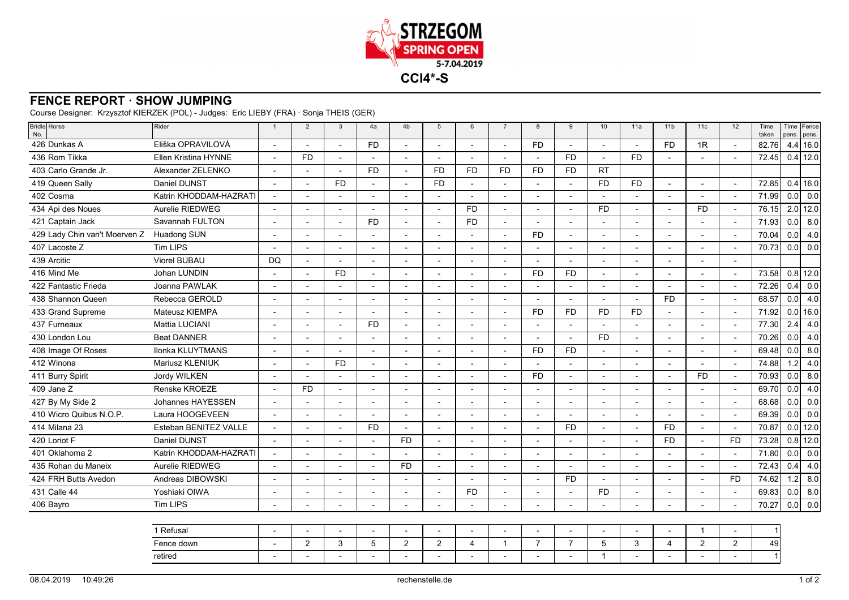

## **FENCE REPORT · SHOW JUMPING**

Course Designer: Krzysztof KIERZEK (POL) - Judges: Eric LIEBY (FRA) · Sonja THEIS (GER)

| Eliška OPRAVILOVÁ<br>$4.4$ 16.0<br>426 Dunkas A<br><b>FD</b><br><b>FD</b><br><b>FD</b><br>1R<br>82.76<br>$\overline{a}$<br>$\overline{a}$<br>$\overline{a}$<br>$\overline{a}$<br>436 Rom Tikka<br>$0.4$ 12.0<br>Ellen Kristina HYNNE<br><b>FD</b><br>FD<br><b>FD</b><br>72.45<br>$\overline{a}$<br>L,<br>$\overline{a}$<br>Ĭ.<br>403 Carlo Grande Jr.<br>Alexander ZELENKO<br><b>FD</b><br><b>FD</b><br><b>FD</b><br><b>FD</b><br><b>FD</b><br><b>FD</b><br><b>RT</b><br>Daniel DUNST<br>$0.4$ 16.0<br>419 Queen Sally<br><b>FD</b><br><b>FD</b><br><b>FD</b><br>72.85<br><b>FD</b><br>$\overline{\phantom{a}}$<br>$\blacksquare$<br>$\overline{a}$<br>$\overline{\phantom{a}}$<br>$\overline{\phantom{0}}$<br>$\sim$<br>$\blacksquare$<br>$\blacksquare$<br>402 Cosma<br>Katrin KHODDAM-HAZRATI<br>71.99<br>0.0<br>$\overline{a}$<br>L,<br>Ĭ.<br>Aurelie RIEDWEG<br>434 Api des Noues<br>$2.0$ 12.0<br><b>FD</b><br><b>FD</b><br>76.15<br><b>FD</b><br>$\overline{a}$<br>$\blacksquare$<br>$\blacksquare$<br>$\overline{a}$<br>$\overline{a}$<br>$\blacksquare$<br>$\overline{\phantom{a}}$<br>$\overline{\phantom{a}}$<br>Savannah FULTON<br>421 Captain Jack<br><b>FD</b><br><b>FD</b><br>71.93<br>0.0<br>$\blacksquare$<br>$\overline{a}$<br>$\blacksquare$<br>$\blacksquare$<br>$\blacksquare$<br>0.0<br>429 Lady Chin van't Moerven Z<br><b>FD</b><br>70.04<br>Huadong SUN<br>$\overline{a}$<br>L.<br>$\overline{a}$<br>$\overline{a}$<br>$\overline{a}$<br>$\overline{a}$<br>$\overline{\phantom{a}}$<br>$\overline{a}$<br>$\overline{a}$<br>407 Lacoste Z<br><b>Tim LIPS</b><br>0.0 <sub>l</sub><br>70.73<br>Viorel BUBAU<br>439 Arcitic<br><b>DQ</b><br>$\overline{a}$<br>$\blacksquare$<br>$\blacksquare$<br>$\blacksquare$<br>$\blacksquare$<br>$\overline{a}$<br>$\blacksquare$<br>$\overline{\phantom{a}}$<br>$\overline{\phantom{a}}$<br>٠<br>416 Mind Me<br>Johan LUNDIN<br>$0.8$ 12.0<br><b>FD</b><br><b>FD</b><br><b>FD</b><br>73.58<br>$\blacksquare$<br>$\overline{\phantom{a}}$<br>$\overline{a}$<br>422 Fantastic Frieda<br>Joanna PAWLAK<br>72.26<br>0.4<br>$\overline{a}$<br>Rebecca GEROLD<br>68.57<br>0.0<br>438 Shannon Queen<br><b>FD</b><br>$\blacksquare$<br>$\overline{a}$<br>$\overline{\phantom{a}}$<br>$\blacksquare$<br>$\blacksquare$<br>$\overline{\phantom{a}}$<br>$\blacksquare$<br>433 Grand Supreme<br>Mateusz KIEMPA<br>$0.0$ 16.0<br><b>FD</b><br>71.92<br><b>FD</b><br>FD.<br><b>FD</b><br>$\overline{a}$<br>$\overline{a}$<br>$\overline{a}$<br>$\overline{\phantom{a}}$<br>$\overline{a}$<br>$\blacksquare$<br>$\sim$<br>$\overline{a}$<br>$\overline{\phantom{a}}$<br>437 Furneaux<br>Mattia LUCIANI<br><b>FD</b><br>77.30<br>2.4<br>$\overline{a}$<br>$\overline{\phantom{a}}$<br>430 London Lou<br><b>Beat DANNER</b><br>70.26<br>0.0<br><b>FD</b><br><b>FD</b><br><b>FD</b><br>0.0<br>408 Image Of Roses<br>Ilonka KLUYTMANS<br>69.48<br>$\blacksquare$<br>$\overline{a}$<br>$\blacksquare$<br>412 Winona<br>74.88<br>1.2<br>Mariusz KLENIUK<br><b>FD</b><br>$\overline{a}$<br>$\blacksquare$<br>$\blacksquare$<br>$\overline{a}$<br>$\overline{a}$<br>0.0<br>411 Burry Spirit<br>Jordy WILKEN<br><b>FD</b><br><b>FD</b><br>70.93<br>$\overline{a}$<br>$\overline{a}$<br>409 Jane Z<br>Renske KROEZE<br>69.70<br>0.0<br><b>FD</b><br>$\overline{\phantom{a}}$<br>$\sim$<br>$\overline{\phantom{a}}$<br>$\blacksquare$<br>$\overline{\phantom{a}}$<br>$\blacksquare$<br>$\blacksquare$<br>$\overline{\phantom{a}}$<br>$\overline{\phantom{a}}$<br>$\overline{\phantom{a}}$<br>$\blacksquare$<br>$\blacksquare$<br>Johannes HAYESSEN<br>68.68<br>0.0<br>427 By My Side 2<br>$\overline{a}$<br>$\overline{a}$<br>L,<br>$\overline{a}$<br>$\overline{a}$<br>$\overline{\phantom{a}}$<br>Laura HOOGEVEEN<br>0.0<br>410 Wicro Quibus N.O.P.<br>69.39<br>414 Milana 23<br>Esteban BENITEZ VALLE<br>$0.0$ 12.0<br><b>FD</b><br><b>FD</b><br><b>FD</b><br>70.87<br>÷,<br>$0.8$ 12.0<br>420 Loriot F<br>Daniel DUNST<br><b>FD</b><br><b>FD</b><br>F <sub>D</sub><br>73.28<br>$\overline{\phantom{a}}$<br>$\overline{a}$<br>$\blacksquare$<br>$\overline{a}$<br>$\overline{a}$<br>401 Oklahoma 2<br>Katrin KHODDAM-HAZRATI<br>71.80<br>0.0<br>$\overline{a}$<br>L,<br>435 Rohan du Maneix<br>Aurelie RIEDWEG<br>72.43<br><b>FD</b><br>0.4<br>$\blacksquare$<br>$\blacksquare$<br>$\overline{\phantom{a}}$<br>$\blacksquare$<br>$\blacksquare$<br>$\blacksquare$<br>$\overline{\phantom{a}}$<br>$\overline{\phantom{a}}$<br>$\overline{\phantom{a}}$<br>$\overline{\phantom{a}}$<br>$\overline{\phantom{a}}$<br>1.2<br>74.62<br>424 FRH Butts Avedon<br>Andreas DIBOWSKI<br><b>FD</b><br><b>FD</b><br>$\blacksquare$<br>$\sim$<br>$\overline{a}$<br>$\blacksquare$<br>$\blacksquare$<br>$\blacksquare$<br>$\overline{\phantom{a}}$<br>431 Calle 44<br>69.83<br>0.0<br>Yoshiaki OIWA<br><b>FD</b><br><b>FD</b><br>$\overline{a}$<br>$\overline{a}$<br>$\overline{\phantom{a}}$<br>$\overline{\phantom{a}}$<br>70.27<br>0.0<br>406 Bayro<br><b>Tim LIPS</b><br>1 Refusal<br>-1<br>$\overline{a}$<br>$\overline{a}$<br>$\overline{a}$<br>$\overline{a}$<br>$\overline{7}$<br>Fence down<br>$\overline{2}$<br>3<br>5<br>2<br>$\overline{2}$<br>$\overline{7}$<br>5<br>3<br>2<br>2<br>49<br>$\overline{4}$<br>$\overline{4}$<br>$\mathbf{1}$<br>$\mathbf{1}$<br>retired | Bridle Horse<br>No. | Rider | $\overline{1}$ | $\overline{2}$ | $\mathbf{3}$ | 4a | 4 <sub>b</sub> | 5 | 6 | $\overline{7}$ | 8 | 9 | 10 | 11a | 11 <sub>b</sub> | 11c | 12 | Time<br>taken | Time Fence<br>pens. pens. |
|---------------------------------------------------------------------------------------------------------------------------------------------------------------------------------------------------------------------------------------------------------------------------------------------------------------------------------------------------------------------------------------------------------------------------------------------------------------------------------------------------------------------------------------------------------------------------------------------------------------------------------------------------------------------------------------------------------------------------------------------------------------------------------------------------------------------------------------------------------------------------------------------------------------------------------------------------------------------------------------------------------------------------------------------------------------------------------------------------------------------------------------------------------------------------------------------------------------------------------------------------------------------------------------------------------------------------------------------------------------------------------------------------------------------------------------------------------------------------------------------------------------------------------------------------------------------------------------------------------------------------------------------------------------------------------------------------------------------------------------------------------------------------------------------------------------------------------------------------------------------------------------------------------------------------------------------------------------------------------------------------------------------------------------------------------------------------------------------------------------------------------------------------------------------------------------------------------------------------------------------------------------------------------------------------------------------------------------------------------------------------------------------------------------------------------------------------------------------------------------------------------------------------------------------------------------------------------------------------------------------------------------------------------------------------------------------------------------------------------------------------------------------------------------------------------------------------------------------------------------------------------------------------------------------------------------------------------------------------------------------------------------------------------------------------------------------------------------------------------------------------------------------------------------------------------------------------------------------------------------------------------------------------------------------------------------------------------------------------------------------------------------------------------------------------------------------------------------------------------------------------------------------------------------------------------------------------------------------------------------------------------------------------------------------------------------------------------------------------------------------------------------------------------------------------------------------------------------------------------------------------------------------------------------------------------------------------------------------------------------------------------------------------------------------------------------------------------------------------------------------------------------------------------------------------------------------------------------------------------------------------------------------------------------------------------------------------------------------------------------------------------------------------------------------------------------------------------------------------------------------------------------------------------------------------------------------------------------------------------------------------------------------------------------------------------------------------------------------------------------------------------------------------------------------------------------------------------------------------------------------------------------------------------------------------------------------------------------------------------------------------------------------------------------------------------------------------------------------------------------------------------------------------------------------------------------------------------------------------------------------------------------------------------------------------------|---------------------|-------|----------------|----------------|--------------|----|----------------|---|---|----------------|---|---|----|-----|-----------------|-----|----|---------------|---------------------------|
|                                                                                                                                                                                                                                                                                                                                                                                                                                                                                                                                                                                                                                                                                                                                                                                                                                                                                                                                                                                                                                                                                                                                                                                                                                                                                                                                                                                                                                                                                                                                                                                                                                                                                                                                                                                                                                                                                                                                                                                                                                                                                                                                                                                                                                                                                                                                                                                                                                                                                                                                                                                                                                                                                                                                                                                                                                                                                                                                                                                                                                                                                                                                                                                                                                                                                                                                                                                                                                                                                                                                                                                                                                                                                                                                                                                                                                                                                                                                                                                                                                                                                                                                                                                                                                                                                                                                                                                                                                                                                                                                                                                                                                                                                                                                                                                                                                                                                                                                                                                                                                                                                                                                                                                                                                                                                                         |                     |       |                |                |              |    |                |   |   |                |   |   |    |     |                 |     |    |               |                           |
|                                                                                                                                                                                                                                                                                                                                                                                                                                                                                                                                                                                                                                                                                                                                                                                                                                                                                                                                                                                                                                                                                                                                                                                                                                                                                                                                                                                                                                                                                                                                                                                                                                                                                                                                                                                                                                                                                                                                                                                                                                                                                                                                                                                                                                                                                                                                                                                                                                                                                                                                                                                                                                                                                                                                                                                                                                                                                                                                                                                                                                                                                                                                                                                                                                                                                                                                                                                                                                                                                                                                                                                                                                                                                                                                                                                                                                                                                                                                                                                                                                                                                                                                                                                                                                                                                                                                                                                                                                                                                                                                                                                                                                                                                                                                                                                                                                                                                                                                                                                                                                                                                                                                                                                                                                                                                                         |                     |       |                |                |              |    |                |   |   |                |   |   |    |     |                 |     |    |               |                           |
|                                                                                                                                                                                                                                                                                                                                                                                                                                                                                                                                                                                                                                                                                                                                                                                                                                                                                                                                                                                                                                                                                                                                                                                                                                                                                                                                                                                                                                                                                                                                                                                                                                                                                                                                                                                                                                                                                                                                                                                                                                                                                                                                                                                                                                                                                                                                                                                                                                                                                                                                                                                                                                                                                                                                                                                                                                                                                                                                                                                                                                                                                                                                                                                                                                                                                                                                                                                                                                                                                                                                                                                                                                                                                                                                                                                                                                                                                                                                                                                                                                                                                                                                                                                                                                                                                                                                                                                                                                                                                                                                                                                                                                                                                                                                                                                                                                                                                                                                                                                                                                                                                                                                                                                                                                                                                                         |                     |       |                |                |              |    |                |   |   |                |   |   |    |     |                 |     |    |               |                           |
|                                                                                                                                                                                                                                                                                                                                                                                                                                                                                                                                                                                                                                                                                                                                                                                                                                                                                                                                                                                                                                                                                                                                                                                                                                                                                                                                                                                                                                                                                                                                                                                                                                                                                                                                                                                                                                                                                                                                                                                                                                                                                                                                                                                                                                                                                                                                                                                                                                                                                                                                                                                                                                                                                                                                                                                                                                                                                                                                                                                                                                                                                                                                                                                                                                                                                                                                                                                                                                                                                                                                                                                                                                                                                                                                                                                                                                                                                                                                                                                                                                                                                                                                                                                                                                                                                                                                                                                                                                                                                                                                                                                                                                                                                                                                                                                                                                                                                                                                                                                                                                                                                                                                                                                                                                                                                                         |                     |       |                |                |              |    |                |   |   |                |   |   |    |     |                 |     |    |               |                           |
|                                                                                                                                                                                                                                                                                                                                                                                                                                                                                                                                                                                                                                                                                                                                                                                                                                                                                                                                                                                                                                                                                                                                                                                                                                                                                                                                                                                                                                                                                                                                                                                                                                                                                                                                                                                                                                                                                                                                                                                                                                                                                                                                                                                                                                                                                                                                                                                                                                                                                                                                                                                                                                                                                                                                                                                                                                                                                                                                                                                                                                                                                                                                                                                                                                                                                                                                                                                                                                                                                                                                                                                                                                                                                                                                                                                                                                                                                                                                                                                                                                                                                                                                                                                                                                                                                                                                                                                                                                                                                                                                                                                                                                                                                                                                                                                                                                                                                                                                                                                                                                                                                                                                                                                                                                                                                                         |                     |       |                |                |              |    |                |   |   |                |   |   |    |     |                 |     |    |               | 0.0                       |
|                                                                                                                                                                                                                                                                                                                                                                                                                                                                                                                                                                                                                                                                                                                                                                                                                                                                                                                                                                                                                                                                                                                                                                                                                                                                                                                                                                                                                                                                                                                                                                                                                                                                                                                                                                                                                                                                                                                                                                                                                                                                                                                                                                                                                                                                                                                                                                                                                                                                                                                                                                                                                                                                                                                                                                                                                                                                                                                                                                                                                                                                                                                                                                                                                                                                                                                                                                                                                                                                                                                                                                                                                                                                                                                                                                                                                                                                                                                                                                                                                                                                                                                                                                                                                                                                                                                                                                                                                                                                                                                                                                                                                                                                                                                                                                                                                                                                                                                                                                                                                                                                                                                                                                                                                                                                                                         |                     |       |                |                |              |    |                |   |   |                |   |   |    |     |                 |     |    |               |                           |
|                                                                                                                                                                                                                                                                                                                                                                                                                                                                                                                                                                                                                                                                                                                                                                                                                                                                                                                                                                                                                                                                                                                                                                                                                                                                                                                                                                                                                                                                                                                                                                                                                                                                                                                                                                                                                                                                                                                                                                                                                                                                                                                                                                                                                                                                                                                                                                                                                                                                                                                                                                                                                                                                                                                                                                                                                                                                                                                                                                                                                                                                                                                                                                                                                                                                                                                                                                                                                                                                                                                                                                                                                                                                                                                                                                                                                                                                                                                                                                                                                                                                                                                                                                                                                                                                                                                                                                                                                                                                                                                                                                                                                                                                                                                                                                                                                                                                                                                                                                                                                                                                                                                                                                                                                                                                                                         |                     |       |                |                |              |    |                |   |   |                |   |   |    |     |                 |     |    |               | 8.0                       |
|                                                                                                                                                                                                                                                                                                                                                                                                                                                                                                                                                                                                                                                                                                                                                                                                                                                                                                                                                                                                                                                                                                                                                                                                                                                                                                                                                                                                                                                                                                                                                                                                                                                                                                                                                                                                                                                                                                                                                                                                                                                                                                                                                                                                                                                                                                                                                                                                                                                                                                                                                                                                                                                                                                                                                                                                                                                                                                                                                                                                                                                                                                                                                                                                                                                                                                                                                                                                                                                                                                                                                                                                                                                                                                                                                                                                                                                                                                                                                                                                                                                                                                                                                                                                                                                                                                                                                                                                                                                                                                                                                                                                                                                                                                                                                                                                                                                                                                                                                                                                                                                                                                                                                                                                                                                                                                         |                     |       |                |                |              |    |                |   |   |                |   |   |    |     |                 |     |    |               | 4.0                       |
|                                                                                                                                                                                                                                                                                                                                                                                                                                                                                                                                                                                                                                                                                                                                                                                                                                                                                                                                                                                                                                                                                                                                                                                                                                                                                                                                                                                                                                                                                                                                                                                                                                                                                                                                                                                                                                                                                                                                                                                                                                                                                                                                                                                                                                                                                                                                                                                                                                                                                                                                                                                                                                                                                                                                                                                                                                                                                                                                                                                                                                                                                                                                                                                                                                                                                                                                                                                                                                                                                                                                                                                                                                                                                                                                                                                                                                                                                                                                                                                                                                                                                                                                                                                                                                                                                                                                                                                                                                                                                                                                                                                                                                                                                                                                                                                                                                                                                                                                                                                                                                                                                                                                                                                                                                                                                                         |                     |       |                |                |              |    |                |   |   |                |   |   |    |     |                 |     |    |               | 0.0                       |
|                                                                                                                                                                                                                                                                                                                                                                                                                                                                                                                                                                                                                                                                                                                                                                                                                                                                                                                                                                                                                                                                                                                                                                                                                                                                                                                                                                                                                                                                                                                                                                                                                                                                                                                                                                                                                                                                                                                                                                                                                                                                                                                                                                                                                                                                                                                                                                                                                                                                                                                                                                                                                                                                                                                                                                                                                                                                                                                                                                                                                                                                                                                                                                                                                                                                                                                                                                                                                                                                                                                                                                                                                                                                                                                                                                                                                                                                                                                                                                                                                                                                                                                                                                                                                                                                                                                                                                                                                                                                                                                                                                                                                                                                                                                                                                                                                                                                                                                                                                                                                                                                                                                                                                                                                                                                                                         |                     |       |                |                |              |    |                |   |   |                |   |   |    |     |                 |     |    |               |                           |
|                                                                                                                                                                                                                                                                                                                                                                                                                                                                                                                                                                                                                                                                                                                                                                                                                                                                                                                                                                                                                                                                                                                                                                                                                                                                                                                                                                                                                                                                                                                                                                                                                                                                                                                                                                                                                                                                                                                                                                                                                                                                                                                                                                                                                                                                                                                                                                                                                                                                                                                                                                                                                                                                                                                                                                                                                                                                                                                                                                                                                                                                                                                                                                                                                                                                                                                                                                                                                                                                                                                                                                                                                                                                                                                                                                                                                                                                                                                                                                                                                                                                                                                                                                                                                                                                                                                                                                                                                                                                                                                                                                                                                                                                                                                                                                                                                                                                                                                                                                                                                                                                                                                                                                                                                                                                                                         |                     |       |                |                |              |    |                |   |   |                |   |   |    |     |                 |     |    |               |                           |
|                                                                                                                                                                                                                                                                                                                                                                                                                                                                                                                                                                                                                                                                                                                                                                                                                                                                                                                                                                                                                                                                                                                                                                                                                                                                                                                                                                                                                                                                                                                                                                                                                                                                                                                                                                                                                                                                                                                                                                                                                                                                                                                                                                                                                                                                                                                                                                                                                                                                                                                                                                                                                                                                                                                                                                                                                                                                                                                                                                                                                                                                                                                                                                                                                                                                                                                                                                                                                                                                                                                                                                                                                                                                                                                                                                                                                                                                                                                                                                                                                                                                                                                                                                                                                                                                                                                                                                                                                                                                                                                                                                                                                                                                                                                                                                                                                                                                                                                                                                                                                                                                                                                                                                                                                                                                                                         |                     |       |                |                |              |    |                |   |   |                |   |   |    |     |                 |     |    |               | 0.0                       |
|                                                                                                                                                                                                                                                                                                                                                                                                                                                                                                                                                                                                                                                                                                                                                                                                                                                                                                                                                                                                                                                                                                                                                                                                                                                                                                                                                                                                                                                                                                                                                                                                                                                                                                                                                                                                                                                                                                                                                                                                                                                                                                                                                                                                                                                                                                                                                                                                                                                                                                                                                                                                                                                                                                                                                                                                                                                                                                                                                                                                                                                                                                                                                                                                                                                                                                                                                                                                                                                                                                                                                                                                                                                                                                                                                                                                                                                                                                                                                                                                                                                                                                                                                                                                                                                                                                                                                                                                                                                                                                                                                                                                                                                                                                                                                                                                                                                                                                                                                                                                                                                                                                                                                                                                                                                                                                         |                     |       |                |                |              |    |                |   |   |                |   |   |    |     |                 |     |    |               | 4.0                       |
|                                                                                                                                                                                                                                                                                                                                                                                                                                                                                                                                                                                                                                                                                                                                                                                                                                                                                                                                                                                                                                                                                                                                                                                                                                                                                                                                                                                                                                                                                                                                                                                                                                                                                                                                                                                                                                                                                                                                                                                                                                                                                                                                                                                                                                                                                                                                                                                                                                                                                                                                                                                                                                                                                                                                                                                                                                                                                                                                                                                                                                                                                                                                                                                                                                                                                                                                                                                                                                                                                                                                                                                                                                                                                                                                                                                                                                                                                                                                                                                                                                                                                                                                                                                                                                                                                                                                                                                                                                                                                                                                                                                                                                                                                                                                                                                                                                                                                                                                                                                                                                                                                                                                                                                                                                                                                                         |                     |       |                |                |              |    |                |   |   |                |   |   |    |     |                 |     |    |               |                           |
|                                                                                                                                                                                                                                                                                                                                                                                                                                                                                                                                                                                                                                                                                                                                                                                                                                                                                                                                                                                                                                                                                                                                                                                                                                                                                                                                                                                                                                                                                                                                                                                                                                                                                                                                                                                                                                                                                                                                                                                                                                                                                                                                                                                                                                                                                                                                                                                                                                                                                                                                                                                                                                                                                                                                                                                                                                                                                                                                                                                                                                                                                                                                                                                                                                                                                                                                                                                                                                                                                                                                                                                                                                                                                                                                                                                                                                                                                                                                                                                                                                                                                                                                                                                                                                                                                                                                                                                                                                                                                                                                                                                                                                                                                                                                                                                                                                                                                                                                                                                                                                                                                                                                                                                                                                                                                                         |                     |       |                |                |              |    |                |   |   |                |   |   |    |     |                 |     |    |               | 4.0                       |
|                                                                                                                                                                                                                                                                                                                                                                                                                                                                                                                                                                                                                                                                                                                                                                                                                                                                                                                                                                                                                                                                                                                                                                                                                                                                                                                                                                                                                                                                                                                                                                                                                                                                                                                                                                                                                                                                                                                                                                                                                                                                                                                                                                                                                                                                                                                                                                                                                                                                                                                                                                                                                                                                                                                                                                                                                                                                                                                                                                                                                                                                                                                                                                                                                                                                                                                                                                                                                                                                                                                                                                                                                                                                                                                                                                                                                                                                                                                                                                                                                                                                                                                                                                                                                                                                                                                                                                                                                                                                                                                                                                                                                                                                                                                                                                                                                                                                                                                                                                                                                                                                                                                                                                                                                                                                                                         |                     |       |                |                |              |    |                |   |   |                |   |   |    |     |                 |     |    |               | 4.0                       |
|                                                                                                                                                                                                                                                                                                                                                                                                                                                                                                                                                                                                                                                                                                                                                                                                                                                                                                                                                                                                                                                                                                                                                                                                                                                                                                                                                                                                                                                                                                                                                                                                                                                                                                                                                                                                                                                                                                                                                                                                                                                                                                                                                                                                                                                                                                                                                                                                                                                                                                                                                                                                                                                                                                                                                                                                                                                                                                                                                                                                                                                                                                                                                                                                                                                                                                                                                                                                                                                                                                                                                                                                                                                                                                                                                                                                                                                                                                                                                                                                                                                                                                                                                                                                                                                                                                                                                                                                                                                                                                                                                                                                                                                                                                                                                                                                                                                                                                                                                                                                                                                                                                                                                                                                                                                                                                         |                     |       |                |                |              |    |                |   |   |                |   |   |    |     |                 |     |    |               | 8.0                       |
|                                                                                                                                                                                                                                                                                                                                                                                                                                                                                                                                                                                                                                                                                                                                                                                                                                                                                                                                                                                                                                                                                                                                                                                                                                                                                                                                                                                                                                                                                                                                                                                                                                                                                                                                                                                                                                                                                                                                                                                                                                                                                                                                                                                                                                                                                                                                                                                                                                                                                                                                                                                                                                                                                                                                                                                                                                                                                                                                                                                                                                                                                                                                                                                                                                                                                                                                                                                                                                                                                                                                                                                                                                                                                                                                                                                                                                                                                                                                                                                                                                                                                                                                                                                                                                                                                                                                                                                                                                                                                                                                                                                                                                                                                                                                                                                                                                                                                                                                                                                                                                                                                                                                                                                                                                                                                                         |                     |       |                |                |              |    |                |   |   |                |   |   |    |     |                 |     |    |               | 4.0                       |
|                                                                                                                                                                                                                                                                                                                                                                                                                                                                                                                                                                                                                                                                                                                                                                                                                                                                                                                                                                                                                                                                                                                                                                                                                                                                                                                                                                                                                                                                                                                                                                                                                                                                                                                                                                                                                                                                                                                                                                                                                                                                                                                                                                                                                                                                                                                                                                                                                                                                                                                                                                                                                                                                                                                                                                                                                                                                                                                                                                                                                                                                                                                                                                                                                                                                                                                                                                                                                                                                                                                                                                                                                                                                                                                                                                                                                                                                                                                                                                                                                                                                                                                                                                                                                                                                                                                                                                                                                                                                                                                                                                                                                                                                                                                                                                                                                                                                                                                                                                                                                                                                                                                                                                                                                                                                                                         |                     |       |                |                |              |    |                |   |   |                |   |   |    |     |                 |     |    |               | 8.0                       |
|                                                                                                                                                                                                                                                                                                                                                                                                                                                                                                                                                                                                                                                                                                                                                                                                                                                                                                                                                                                                                                                                                                                                                                                                                                                                                                                                                                                                                                                                                                                                                                                                                                                                                                                                                                                                                                                                                                                                                                                                                                                                                                                                                                                                                                                                                                                                                                                                                                                                                                                                                                                                                                                                                                                                                                                                                                                                                                                                                                                                                                                                                                                                                                                                                                                                                                                                                                                                                                                                                                                                                                                                                                                                                                                                                                                                                                                                                                                                                                                                                                                                                                                                                                                                                                                                                                                                                                                                                                                                                                                                                                                                                                                                                                                                                                                                                                                                                                                                                                                                                                                                                                                                                                                                                                                                                                         |                     |       |                |                |              |    |                |   |   |                |   |   |    |     |                 |     |    |               | 4.0                       |
|                                                                                                                                                                                                                                                                                                                                                                                                                                                                                                                                                                                                                                                                                                                                                                                                                                                                                                                                                                                                                                                                                                                                                                                                                                                                                                                                                                                                                                                                                                                                                                                                                                                                                                                                                                                                                                                                                                                                                                                                                                                                                                                                                                                                                                                                                                                                                                                                                                                                                                                                                                                                                                                                                                                                                                                                                                                                                                                                                                                                                                                                                                                                                                                                                                                                                                                                                                                                                                                                                                                                                                                                                                                                                                                                                                                                                                                                                                                                                                                                                                                                                                                                                                                                                                                                                                                                                                                                                                                                                                                                                                                                                                                                                                                                                                                                                                                                                                                                                                                                                                                                                                                                                                                                                                                                                                         |                     |       |                |                |              |    |                |   |   |                |   |   |    |     |                 |     |    |               | 0.0                       |
|                                                                                                                                                                                                                                                                                                                                                                                                                                                                                                                                                                                                                                                                                                                                                                                                                                                                                                                                                                                                                                                                                                                                                                                                                                                                                                                                                                                                                                                                                                                                                                                                                                                                                                                                                                                                                                                                                                                                                                                                                                                                                                                                                                                                                                                                                                                                                                                                                                                                                                                                                                                                                                                                                                                                                                                                                                                                                                                                                                                                                                                                                                                                                                                                                                                                                                                                                                                                                                                                                                                                                                                                                                                                                                                                                                                                                                                                                                                                                                                                                                                                                                                                                                                                                                                                                                                                                                                                                                                                                                                                                                                                                                                                                                                                                                                                                                                                                                                                                                                                                                                                                                                                                                                                                                                                                                         |                     |       |                |                |              |    |                |   |   |                |   |   |    |     |                 |     |    |               | 0.0                       |
|                                                                                                                                                                                                                                                                                                                                                                                                                                                                                                                                                                                                                                                                                                                                                                                                                                                                                                                                                                                                                                                                                                                                                                                                                                                                                                                                                                                                                                                                                                                                                                                                                                                                                                                                                                                                                                                                                                                                                                                                                                                                                                                                                                                                                                                                                                                                                                                                                                                                                                                                                                                                                                                                                                                                                                                                                                                                                                                                                                                                                                                                                                                                                                                                                                                                                                                                                                                                                                                                                                                                                                                                                                                                                                                                                                                                                                                                                                                                                                                                                                                                                                                                                                                                                                                                                                                                                                                                                                                                                                                                                                                                                                                                                                                                                                                                                                                                                                                                                                                                                                                                                                                                                                                                                                                                                                         |                     |       |                |                |              |    |                |   |   |                |   |   |    |     |                 |     |    |               |                           |
|                                                                                                                                                                                                                                                                                                                                                                                                                                                                                                                                                                                                                                                                                                                                                                                                                                                                                                                                                                                                                                                                                                                                                                                                                                                                                                                                                                                                                                                                                                                                                                                                                                                                                                                                                                                                                                                                                                                                                                                                                                                                                                                                                                                                                                                                                                                                                                                                                                                                                                                                                                                                                                                                                                                                                                                                                                                                                                                                                                                                                                                                                                                                                                                                                                                                                                                                                                                                                                                                                                                                                                                                                                                                                                                                                                                                                                                                                                                                                                                                                                                                                                                                                                                                                                                                                                                                                                                                                                                                                                                                                                                                                                                                                                                                                                                                                                                                                                                                                                                                                                                                                                                                                                                                                                                                                                         |                     |       |                |                |              |    |                |   |   |                |   |   |    |     |                 |     |    |               |                           |
|                                                                                                                                                                                                                                                                                                                                                                                                                                                                                                                                                                                                                                                                                                                                                                                                                                                                                                                                                                                                                                                                                                                                                                                                                                                                                                                                                                                                                                                                                                                                                                                                                                                                                                                                                                                                                                                                                                                                                                                                                                                                                                                                                                                                                                                                                                                                                                                                                                                                                                                                                                                                                                                                                                                                                                                                                                                                                                                                                                                                                                                                                                                                                                                                                                                                                                                                                                                                                                                                                                                                                                                                                                                                                                                                                                                                                                                                                                                                                                                                                                                                                                                                                                                                                                                                                                                                                                                                                                                                                                                                                                                                                                                                                                                                                                                                                                                                                                                                                                                                                                                                                                                                                                                                                                                                                                         |                     |       |                |                |              |    |                |   |   |                |   |   |    |     |                 |     |    |               | 0.0                       |
|                                                                                                                                                                                                                                                                                                                                                                                                                                                                                                                                                                                                                                                                                                                                                                                                                                                                                                                                                                                                                                                                                                                                                                                                                                                                                                                                                                                                                                                                                                                                                                                                                                                                                                                                                                                                                                                                                                                                                                                                                                                                                                                                                                                                                                                                                                                                                                                                                                                                                                                                                                                                                                                                                                                                                                                                                                                                                                                                                                                                                                                                                                                                                                                                                                                                                                                                                                                                                                                                                                                                                                                                                                                                                                                                                                                                                                                                                                                                                                                                                                                                                                                                                                                                                                                                                                                                                                                                                                                                                                                                                                                                                                                                                                                                                                                                                                                                                                                                                                                                                                                                                                                                                                                                                                                                                                         |                     |       |                |                |              |    |                |   |   |                |   |   |    |     |                 |     |    |               | 4.0                       |
|                                                                                                                                                                                                                                                                                                                                                                                                                                                                                                                                                                                                                                                                                                                                                                                                                                                                                                                                                                                                                                                                                                                                                                                                                                                                                                                                                                                                                                                                                                                                                                                                                                                                                                                                                                                                                                                                                                                                                                                                                                                                                                                                                                                                                                                                                                                                                                                                                                                                                                                                                                                                                                                                                                                                                                                                                                                                                                                                                                                                                                                                                                                                                                                                                                                                                                                                                                                                                                                                                                                                                                                                                                                                                                                                                                                                                                                                                                                                                                                                                                                                                                                                                                                                                                                                                                                                                                                                                                                                                                                                                                                                                                                                                                                                                                                                                                                                                                                                                                                                                                                                                                                                                                                                                                                                                                         |                     |       |                |                |              |    |                |   |   |                |   |   |    |     |                 |     |    |               | 8.0                       |
|                                                                                                                                                                                                                                                                                                                                                                                                                                                                                                                                                                                                                                                                                                                                                                                                                                                                                                                                                                                                                                                                                                                                                                                                                                                                                                                                                                                                                                                                                                                                                                                                                                                                                                                                                                                                                                                                                                                                                                                                                                                                                                                                                                                                                                                                                                                                                                                                                                                                                                                                                                                                                                                                                                                                                                                                                                                                                                                                                                                                                                                                                                                                                                                                                                                                                                                                                                                                                                                                                                                                                                                                                                                                                                                                                                                                                                                                                                                                                                                                                                                                                                                                                                                                                                                                                                                                                                                                                                                                                                                                                                                                                                                                                                                                                                                                                                                                                                                                                                                                                                                                                                                                                                                                                                                                                                         |                     |       |                |                |              |    |                |   |   |                |   |   |    |     |                 |     |    |               | 8.0                       |
|                                                                                                                                                                                                                                                                                                                                                                                                                                                                                                                                                                                                                                                                                                                                                                                                                                                                                                                                                                                                                                                                                                                                                                                                                                                                                                                                                                                                                                                                                                                                                                                                                                                                                                                                                                                                                                                                                                                                                                                                                                                                                                                                                                                                                                                                                                                                                                                                                                                                                                                                                                                                                                                                                                                                                                                                                                                                                                                                                                                                                                                                                                                                                                                                                                                                                                                                                                                                                                                                                                                                                                                                                                                                                                                                                                                                                                                                                                                                                                                                                                                                                                                                                                                                                                                                                                                                                                                                                                                                                                                                                                                                                                                                                                                                                                                                                                                                                                                                                                                                                                                                                                                                                                                                                                                                                                         |                     |       |                |                |              |    |                |   |   |                |   |   |    |     |                 |     |    |               | 0.0                       |
|                                                                                                                                                                                                                                                                                                                                                                                                                                                                                                                                                                                                                                                                                                                                                                                                                                                                                                                                                                                                                                                                                                                                                                                                                                                                                                                                                                                                                                                                                                                                                                                                                                                                                                                                                                                                                                                                                                                                                                                                                                                                                                                                                                                                                                                                                                                                                                                                                                                                                                                                                                                                                                                                                                                                                                                                                                                                                                                                                                                                                                                                                                                                                                                                                                                                                                                                                                                                                                                                                                                                                                                                                                                                                                                                                                                                                                                                                                                                                                                                                                                                                                                                                                                                                                                                                                                                                                                                                                                                                                                                                                                                                                                                                                                                                                                                                                                                                                                                                                                                                                                                                                                                                                                                                                                                                                         |                     |       |                |                |              |    |                |   |   |                |   |   |    |     |                 |     |    |               |                           |
|                                                                                                                                                                                                                                                                                                                                                                                                                                                                                                                                                                                                                                                                                                                                                                                                                                                                                                                                                                                                                                                                                                                                                                                                                                                                                                                                                                                                                                                                                                                                                                                                                                                                                                                                                                                                                                                                                                                                                                                                                                                                                                                                                                                                                                                                                                                                                                                                                                                                                                                                                                                                                                                                                                                                                                                                                                                                                                                                                                                                                                                                                                                                                                                                                                                                                                                                                                                                                                                                                                                                                                                                                                                                                                                                                                                                                                                                                                                                                                                                                                                                                                                                                                                                                                                                                                                                                                                                                                                                                                                                                                                                                                                                                                                                                                                                                                                                                                                                                                                                                                                                                                                                                                                                                                                                                                         |                     |       |                |                |              |    |                |   |   |                |   |   |    |     |                 |     |    |               |                           |
|                                                                                                                                                                                                                                                                                                                                                                                                                                                                                                                                                                                                                                                                                                                                                                                                                                                                                                                                                                                                                                                                                                                                                                                                                                                                                                                                                                                                                                                                                                                                                                                                                                                                                                                                                                                                                                                                                                                                                                                                                                                                                                                                                                                                                                                                                                                                                                                                                                                                                                                                                                                                                                                                                                                                                                                                                                                                                                                                                                                                                                                                                                                                                                                                                                                                                                                                                                                                                                                                                                                                                                                                                                                                                                                                                                                                                                                                                                                                                                                                                                                                                                                                                                                                                                                                                                                                                                                                                                                                                                                                                                                                                                                                                                                                                                                                                                                                                                                                                                                                                                                                                                                                                                                                                                                                                                         |                     |       |                |                |              |    |                |   |   |                |   |   |    |     |                 |     |    |               |                           |
|                                                                                                                                                                                                                                                                                                                                                                                                                                                                                                                                                                                                                                                                                                                                                                                                                                                                                                                                                                                                                                                                                                                                                                                                                                                                                                                                                                                                                                                                                                                                                                                                                                                                                                                                                                                                                                                                                                                                                                                                                                                                                                                                                                                                                                                                                                                                                                                                                                                                                                                                                                                                                                                                                                                                                                                                                                                                                                                                                                                                                                                                                                                                                                                                                                                                                                                                                                                                                                                                                                                                                                                                                                                                                                                                                                                                                                                                                                                                                                                                                                                                                                                                                                                                                                                                                                                                                                                                                                                                                                                                                                                                                                                                                                                                                                                                                                                                                                                                                                                                                                                                                                                                                                                                                                                                                                         |                     |       |                |                |              |    |                |   |   |                |   |   |    |     |                 |     |    |               |                           |